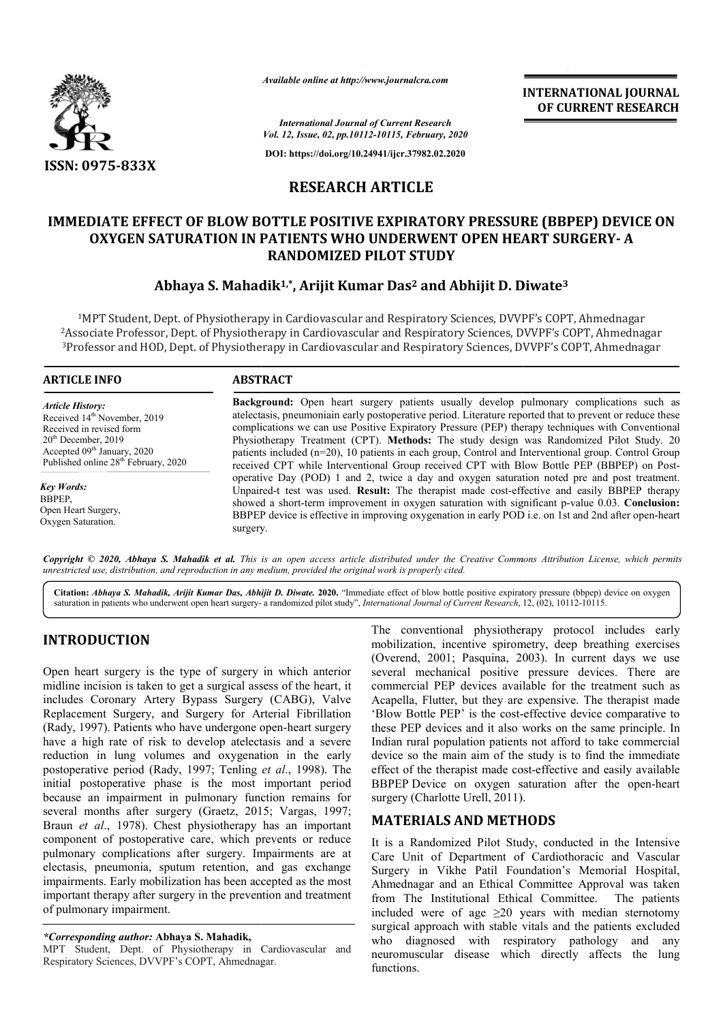

*Available online at http://www.journalcra.com*

**INTERNATIONAL JOURNAL OF CURRENT RESEARCH**

*International Journal of Current Research Vol. 12, Issue, 02, pp.10112-10115, February, 2020*

**DOI: https://doi.org/10.24941/ijcr.37982.02.2020**

# **RESEARCH ARTICLE**

# **IMMEDIATE EFFECT OF BLOW BOTTLE POSITIVE EXPIRATORY PRESSURE (BBPEP) DEVICE ON OF BLOW ON OPEN HEART SURGERY- <sup>A</sup> OXYGEN SATURATION IN PATIENTS WHO UNDERWENT OPEN HEART SURGERY RANDOMIZED PILOT STUDY**

# **Abhaya S. Mahadik Mahadik1,\*, Arijit Kumar Das2 and Abhijit D. Diwate Diwate3**

<sup>1</sup>MPT Student, Dept. of Physiotherapy in Cardiovascular and Respiratory Sciences, DVVPF's COPT, Ahmednagar 2Associate Professor, Dept. of Physiotherapy in Cardiovascular and Respiratory Sciences, DVVPF's COPT, Ahmednagar 3Professor and HOD, Dept. of Physiotherapy in Cardiovascular and Respiratory Sciences, DVVPF's COPT, Ahmednagar Professor udent, Dept. of Physiotherapy in Cardiovascular and Respiratory Sciences, DVVPF's COPT, Ahmednagar<br>Professor, Dept. of Physiotherapy in Cardiovascular and Respiratory Sciences, DVVPF's COPT, Ahmednaga<br>and HOD, Dept. of Phy

#### **ARTICLE INFO ABSTRACT**

*Article History:* Received 14<sup>th</sup> November, 2019 Received in revised form 20<sup>th</sup> December, 2019 Accepted 09<sup>th</sup> January, 2020 Published online 28<sup>th</sup> February, 2020

*Key Words:* BBPEP, Open Heart Surgery, Oxygen Saturation.

**Background:** Open heart surgery patients usually develop pulmonary complications such as atelectasis, pneumoniain early postoperative period. Literature reported that to prevent or reduce these atelectasis, pneumoniain early postoperative period. Literature reported that to prevent or reduce these complications we can use Positive Expiratory Pressure (PEP) therapy techniques with Conventional Physiotherapy Treatment (CPT). **Methods:** The study design was Randomized Pilot Study. 20 patients included (n=20), 10 patients in each group, Control and Interventional group. Control Group Physiotherapy Treatment (CPT). **Methods:** The study design was Randomized Pilot Study. 20 patients included (n=20), 10 patients in each group, Control and Interventional group. Control Group received CPT with Blow Bottle P operative Day (POD) 1 and 2, twice a day and oxygen saturation noted pre and post treatment. Unpaired Unpaired-t test was used. **Result:** The therapist made cost-effective and easily BBPEP therapy operative Day (POD) 1 and 2, twice a day and oxygen saturation noted pre and post treatment.<br>Unpaired-t test was used. **Result:** The therapist made cost-effective and easily BBPEP therapy<br>showed a short-term improvement in BBPEP device is effective in improving oxygenation in early POD i.e. on 1st and 2nd after open-heart surgery.

**Copyright** © 2020, Abhaya S. Mahadik et al. This is an open access article distributed under the Creative Commons Attribution License, which permits *unrestricted use, distribution, and reproduction in any medium, provided the original work is properly cited.*

Citation: Abhaya S. Mahadik, Arijit Kumar Das, Abhijit D. Diwate. 2020. "Immediate effect of blow bottle positive expiratory pressure (bbpep) device on oxygen Citation: Abhaya S. Mahadik, Arijit Kumar Das, Abhijit D. Diwate. 2020. "Immediate effect of blow bottle positive expiratory pressure (bbpep) or alternation in patients who underwent open heart surgery- a randomized pilot

# **INTRODUCTION**

Open heart surgery is the type of surgery in which anterior midline incision is taken to get a surgical assess of the heart, it includes Coronary Artery Bypass Surgery (CABG), Valve Replacement Surgery, and Surgery for Arterial Fibrillation (Rady, 1997). Patients who have undergone open-heart surgery have a high rate of risk to develop atelectasis and a severe reduction in lung volumes and oxygenation in the early postoperative period (Rady, 1997; Tenling *et al*., 1998). The initial postoperative phase is the most important period because an impairment in pulmonary function remains for several months after surgery (Graetz, 2015; Vargas, 1997; Braun *et al*., 1978). Chest physiotherapy has an important component of postoperative care, which prevents or reduce pulmonary complications after surgery. Impairments are at electasis, pneumonia, sputum retention, and gas exchange impairments. Early mobilization has been accepted as the most important therapy after surgery in the prevention and treatment of pulmonary impairment. nt therapy after surgery in the prevention<br>onary impairment.<br>**Conding author: Abhaya S. Mahadik,**<br>tudent, Dept. of Physiotherapy in Car<br>ory Sciences, DVVPF's COPT, Ahmednagar.

#### *\*Corresponding author:* **Abhaya S. Mahadik,**

MPT Student, Dept. of Physiotherapy in Cardiovascular and Respiratory Sciences, DVVPF's COPT, Ahmednagar

The conventional physiotherapy protocol includes early The conventional physiotherapy protocol includes early<br>mobilization, incentive spirometry, deep breathing exercises (Overend, 2001; Pasquina, 2003). In current days we use several mechanical positive pressure devices. There are several mechanical positive pressure devices. There are commercial PEP devices available for the treatment such as Acapella, Flutter, but they are expensive. The therapist made Acapella, Flutter, but they are expensive. The therapist made 'Blow Bottle PEP' is the cost-effective device comparative to these PEP devices and it also works on the same principle. In these PEP devices and it also works on the same principle. In Indian rural population patients not afford to take commercial device so the main aim of the study is to find the immediate device so the main aim of the study is to find the immediate effect of the therapist made cost-effective and easily available BBPEP Device on oxygen saturation after the open-heart surgery (Charlotte Urell, 2011). **INTERNATIONAL JOURNAL OF CURRENT RESEARCH CONTRIGUAL SET (SERVE TRESPACE SET AND AND AND AND AND THEART SURGERY - A CD. Diwate<sup>3</sup><br>
5. DVVPF's COPT, Ahmednagar cess, DVVPF's COPT, Ahmednagar cess, DVVPF's COPT, Ahmednagar** 

## **MATERIALS AND METHODS METHODS**

It is a Randomized Pilot Study, conducted in the Intensive Care Unit of Department of Cardiothoracic and Vascular Surgery in Vikhe Patil Foundation's Memorial Hospital, Ahmednagar and an Ethical Committee Approval was taken from The Institutional Ethical Committe included were of age  $\geq 20$  years with median sternotomy surgical approach with stable vitals and the patients excluded who diagnosed with respiratory pathology and any neuromuscular disease which directly affects the lung functions. Randomized Pilot Study, conducted in the Intensive<br>Unit of Department of Cardiothoracic and Vascular<br>y in Vikhe Patil Foundation's Memorial Hospital,<br>dnagar and an Ethical Committee Approval was taken<br>The Institutional Eth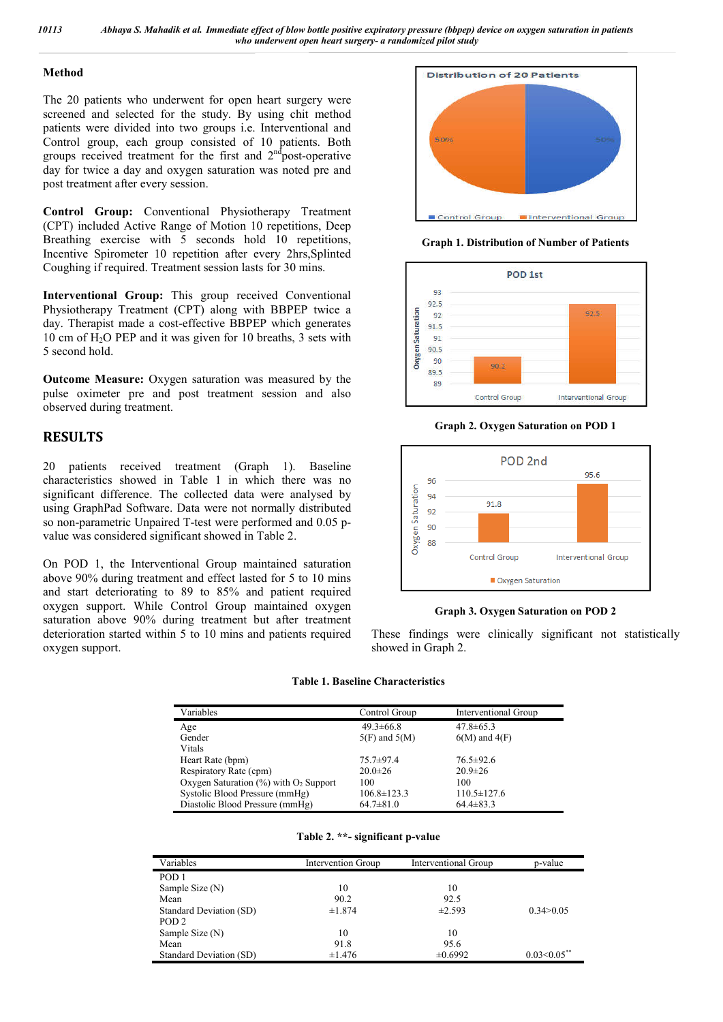### **Method**

The 20 patients who underwent for open heart surgery were screened and selected for the study. By using chit method patients were divided into two groups i.e. Interventional and Control group, each group consisted of 10 patients. Both groups received treatment for the first and  $2<sup>nd</sup>$  post-operative day for twice a day and oxygen saturation was noted pre and post treatment after every session.

**Control Group:** Conventional Physiotherapy Treatment (CPT) included Active Range of Motion 10 repetitions, Deep Breathing exercise with  $\overline{5}$  seconds hold 10 repetitions, Incentive Spirometer 10 repetition after every 2hrs,Splinted Coughing if required. Treatment session lasts for 30 mins.

**Interventional Group:** This group received Conventional Physiotherapy Treatment (CPT) along with BBPEP twice a day. Therapist made a cost-effective BBPEP which generates 10 cm of H<sub>2</sub>O PEP and it was given for 10 breaths, 3 sets with 5 second hold.

**Outcome Measure:** Oxygen saturation was measured by the pulse oximeter pre and post treatment session and also observed during treatment.

# **RESULTS**

20 patients received treatment (Graph 1). Baseline characteristics showed in Table 1 in which there was no significant difference. The collected data were analysed by using GraphPad Software. Data were not normally distributed so non-parametric Unpaired T-test were performed and 0.05 pvalue was considered significant showed in Table 2.

On POD 1, the Interventional Group maintained saturation above 90% during treatment and effect lasted for 5 to 10 mins and start deteriorating to 89 to 85% and patient required oxygen support. While Control Group maintained oxygen saturation above 90% during treatment but after treatment deterioration started within 5 to 10 mins and patients required oxygen support.



**Graph 1. Distribution of Number of Patients**



**Graph 2. Oxygen Saturation on POD 1**



## **Graph 3. Oxygen Saturation on POD 2**

These findings were clinically significant not statistically showed in Graph 2.

#### **Table 1. Baseline Characteristics**

| Variables                                            | Control Group     | Interventional Group |
|------------------------------------------------------|-------------------|----------------------|
| Age                                                  | $49.3 \pm 66.8$   | $47.8 \pm 65.3$      |
| Gender                                               | $5(F)$ and $5(M)$ | $6(M)$ and $4(F)$    |
| Vitals                                               |                   |                      |
| Heart Rate (bpm)                                     | $75.7 \pm 97.4$   | $76.5 \pm 92.6$      |
| Respiratory Rate (cpm)                               | $20.0 \pm 26$     | $20.9 \pm 26$        |
| Oxygen Saturation $(\%)$ with O <sub>2</sub> Support | 100               | 100                  |
| Systolic Blood Pressure (mmHg)                       | $106.8 \pm 123.3$ | $110.5 \pm 127.6$    |
| Diastolic Blood Pressure (mmHg)                      | $64.7 \pm 81.0$   | $64.4 \pm 83.3$      |

|  |  | Table 2. **- significant p-value |  |
|--|--|----------------------------------|--|
|--|--|----------------------------------|--|

| Variables               | Intervention Group | Interventional Group | p-value        |
|-------------------------|--------------------|----------------------|----------------|
| POD <sub>1</sub>        |                    |                      |                |
| Sample Size (N)         | 10                 | 10                   |                |
| Mean                    | 90.2               | 92.5                 |                |
| Standard Deviation (SD) | ±1.874             | $\pm 2.593$          | 0.34 > 0.05    |
| POD <sub>2</sub>        |                    |                      |                |
| Sample Size (N)         | 10                 | 10                   |                |
| Mean                    | 91.8               | 95.6                 |                |
| Standard Deviation (SD) | $\pm 1.476$        | $\pm 0.6992$         | $0.03<0.05***$ |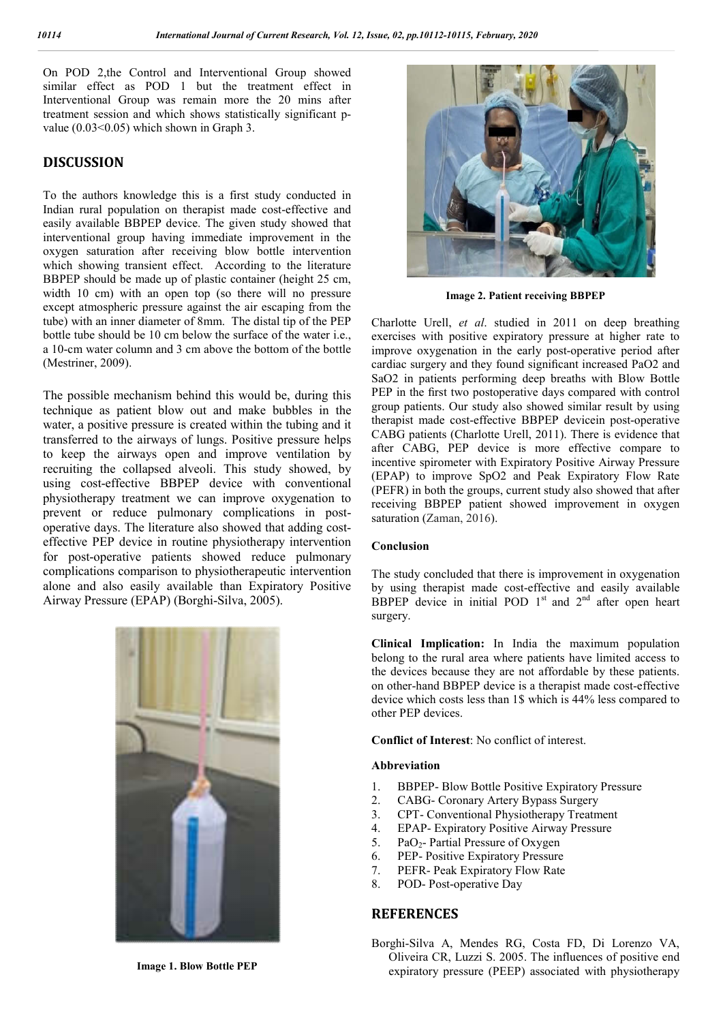On POD 2,the Control and Interventional Group showed similar effect as POD 1 but the treatment effect in Interventional Group was remain more the 20 mins after treatment session and which shows statistically significant pvalue  $(0.03<0.05)$  which shown in Graph 3.

## **DISCUSSION**

To the authors knowledge this is a first study conducted in Indian rural population on therapist made cost-effective and easily available BBPEP device. The given study showed that interventional group having immediate improvement in the oxygen saturation after receiving blow bottle intervention which showing transient effect. According to the literature BBPEP should be made up of plastic container (height 25 cm, width 10 cm) with an open top (so there will no pressure except atmospheric pressure against the air escaping from the tube) with an inner diameter of 8mm. The distal tip of the PEP bottle tube should be 10 cm below the surface of the water i.e., a 10-cm water column and 3 cm above the bottom of the bottle (Mestriner, 2009).

The possible mechanism behind this would be, during this technique as patient blow out and make bubbles in the water, a positive pressure is created within the tubing and it transferred to the airways of lungs. Positive pressure helps to keep the airways open and improve ventilation by recruiting the collapsed alveoli. This study showed, by using cost-effective BBPEP device with conventional physiotherapy treatment we can improve oxygenation to prevent or reduce pulmonary complications in postoperative days. The literature also showed that adding costeffective PEP device in routine physiotherapy intervention for post-operative patients showed reduce pulmonary complications comparison to physiotherapeutic intervention alone and also easily available than Expiratory Positive Airway Pressure (EPAP) (Borghi-Silva, 2005).



**Image 1. Blow Bottle PEP**



**Image 2. Patient receiving BBPEP**

Charlotte Urell, *et al*. studied in 2011 on deep breathing exercises with positive expiratory pressure at higher rate to improve oxygenation in the early post-operative period after cardiac surgery and they found significant increased PaO2 and SaO2 in patients performing deep breaths with Blow Bottle PEP in the first two postoperative days compared with control group patients. Our study also showed similar result by using therapist made cost-effective BBPEP devicein post-operative CABG patients (Charlotte Urell, 2011). There is evidence that after CABG, PEP device is more effective compare to incentive spirometer with Expiratory Positive Airway Pressure (EPAP) to improve SpO2 and Peak Expiratory Flow Rate (PEFR) in both the groups, current study also showed that after receiving BBPEP patient showed improvement in oxygen saturation (Zaman, 2016).

#### **Conclusion**

The study concluded that there is improvement in oxygenation by using therapist made cost-effective and easily available BBPEP device in initial POD  $1<sup>st</sup>$  and  $2<sup>nd</sup>$  after open heart surgery.

**Clinical Implication:** In India the maximum population belong to the rural area where patients have limited access to the devices because they are not affordable by these patients. on other-hand BBPEP device is a therapist made cost-effective device which costs less than 1\$ which is 44% less compared to other PEP devices.

**Conflict of Interest**: No conflict of interest.

#### **Abbreviation**

- 1. BBPEP- Blow Bottle Positive Expiratory Pressure
- 2. CABG- Coronary Artery Bypass Surgery
- 3. CPT- Conventional Physiotherapy Treatment
- 4. EPAP- Expiratory Positive Airway Pressure
- 5. PaO<sub>2</sub>- Partial Pressure of Oxygen<br>6. PEP- Positive Expiratory Pressure
- PEP- Positive Expiratory Pressure
- 7. PEFR- Peak Expiratory Flow Rate
- 8. POD- Post-operative Day

## **REFERENCES**

Borghi-Silva A, Mendes RG, Costa FD, Di Lorenzo VA, Oliveira CR, Luzzi S. 2005. The influences of positive end expiratory pressure (PEEP) associated with physiotherapy